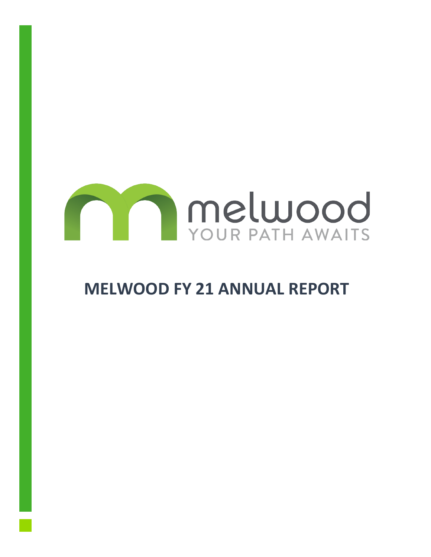

# **MELWOOD FY 21 ANNUAL REPORT**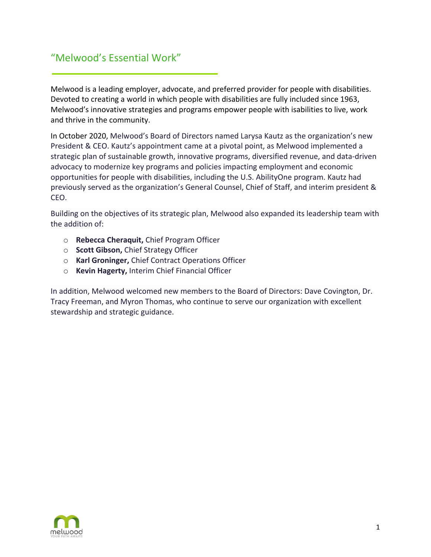## "Melwood's Essential Work"

Melwood is a leading employer, advocate, and preferred provider for people with disabilities. Devoted to creating a world in which people with disabilities are fully included since 1963, Melwood's innovative strategies and programs empower people with isabilities to live, work and thrive in the community.

In October 2020, Melwood's Board of Directors named Larysa Kautz as the organization's new President & CEO. Kautz's appointment came at a pivotal point, as Melwood implemented a strategic plan of sustainable growth, innovative programs, diversified revenue, and data-driven advocacy to modernize key programs and policies impacting employment and economic opportunities for people with disabilities, including the U.S. AbilityOne program. Kautz had previously served as the organization's General Counsel, Chief of Staff, and interim president & CEO.

Building on the objectives of its strategic plan, Melwood also expanded its leadership team with the addition of:

- o **Rebecca Cheraquit,** Chief Program Officer
- o **Scott Gibson,** Chief Strategy Officer
- o **Karl Groninger,** Chief Contract Operations Officer
- o **Kevin Hagerty,** Interim Chief Financial Officer

In addition, Melwood welcomed new members to the Board of Directors: Dave Covington, Dr. Tracy Freeman, and Myron Thomas, who continue to serve our organization with excellent stewardship and strategic guidance.

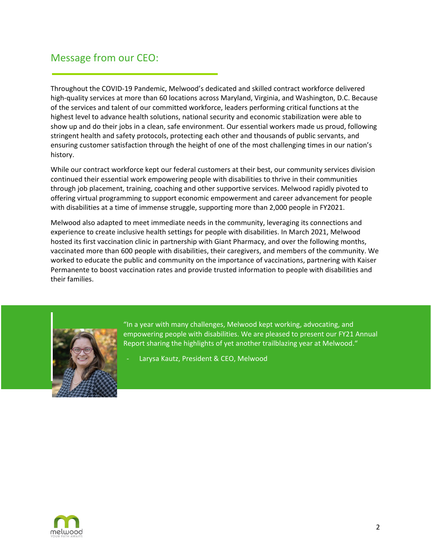### Message from our CEO:

Throughout the COVID-19 Pandemic, Melwood's dedicated and skilled contract workforce delivered high-quality services at more than 60 locations across Maryland, Virginia, and Washington, D.C. Because of the services and talent of our committed workforce, leaders performing critical functions at the highest level to advance health solutions, national security and economic stabilization were able to show up and do their jobs in a clean, safe environment. Our essential workers made us proud, following stringent health and safety protocols, protecting each other and thousands of public servants, and ensuring customer satisfaction through the height of one of the most challenging times in our nation's history.

While our contract workforce kept our federal customers at their best, our community services division continued their essential work empowering people with disabilities to thrive in their communities through job placement, training, coaching and other supportive services. Melwood rapidly pivoted to offering virtual programming to support economic empowerment and career advancement for people with disabilities at a time of immense struggle, supporting more than 2,000 people in FY2021.

Melwood also adapted to meet immediate needs in the community, leveraging its connections and experience to create inclusive health settings for people with disabilities. In March 2021, Melwood hosted its first vaccination clinic in partnership with Giant Pharmacy, and over the following months, vaccinated more than 600 people with disabilities, their caregivers, and members of the community. We worked to educate the public and community on the importance of vaccinations, partnering with Kaiser Permanente to boost vaccination rates and provide trusted information to people with disabilities and their families.



"In a year with many challenges, Melwood kept working, advocating, and empowering people with disabilities. We are pleased to present our FY21 Annual Report sharing the highlights of yet another trailblazing year at Melwood."

Larysa Kautz, President & CEO, Melwood

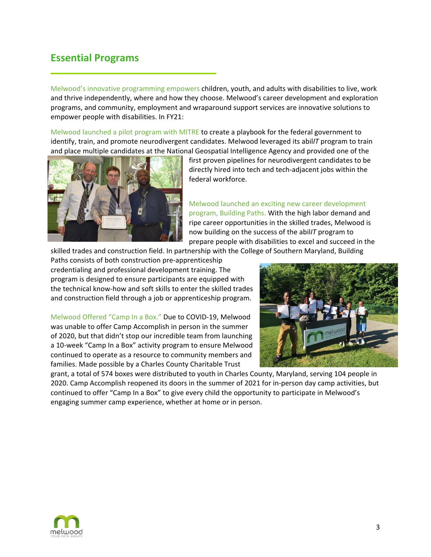#### **Essential Programs**

Melwood's innovative programming empowers children, youth, and adults with disabilities to live, work and thrive independently, where and how they choose. Melwood's career development and exploration programs, and community, employment and wraparound support services are innovative solutions to empower people with disabilities. In FY21:

Melwood launched a pilot program with MITRE to create a playbook for the federal government to identify, train, and promote neurodivergent candidates. Melwood leveraged its abil*IT* program to train and place multiple candidates at the National Geospatial Intelligence Agency and provided one of the



first proven pipelines for neurodivergent candidates to be directly hired into tech and tech-adjacent jobs within the federal workforce.

Melwood launched an exciting new career development program, Building Paths. With the high labor demand and ripe career opportunities in the skilled trades, Melwood is now building on the success of the abil*IT* program to prepare people with disabilities to excel and succeed in the

skilled trades and construction field. In partnership with the College of Southern Maryland, Building

Paths consists of both construction pre-apprenticeship credentialing and professional development training. The program is designed to ensure participants are equipped with the technical know-how and soft skills to enter the skilled trades and construction field through a job or apprenticeship program.

Melwood Offered "Camp In a Box." Due to COVID-19, Melwood was unable to offer Camp Accomplish in person in the summer of 2020, but that didn't stop our incredible team from launching a 10-week "Camp In a Box" activity program to ensure Melwood continued to operate as a resource to community members and families. Made possible by a Charles County Charitable Trust



grant, a total of 574 boxes were distributed to youth in Charles County, Maryland, serving 104 people in 2020. Camp Accomplish reopened its doors in the summer of 2021 for in-person day camp activities, but continued to offer "Camp In a Box" to give every child the opportunity to participate in Melwood's engaging summer camp experience, whether at home or in person.

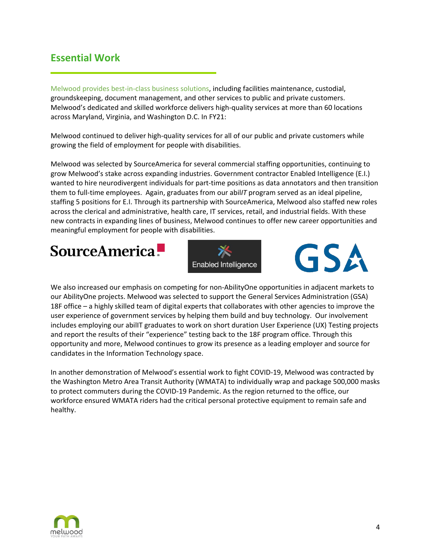#### **Essential Work**

Melwood provides best-in-class business solutions, including facilities maintenance, custodial, groundskeeping, document management, and other services to public and private customers. Melwood's dedicated and skilled workforce delivers high-quality services at more than 60 locations across Maryland, Virginia, and Washington D.C. In FY21:

Melwood continued to deliver high-quality services for all of our public and private customers while growing the field of employment for people with disabilities.

Melwood was selected by SourceAmerica for several commercial staffing opportunities, continuing to grow Melwood's stake across expanding industries. Government contractor Enabled Intelligence (E.I.) wanted to hire neurodivergent individuals for part-time positions as data annotators and then transition them to full-time employees. Again, graduates from our abil*IT* program served as an ideal pipeline, staffing 5 positions for E.I. Through its partnership with SourceAmerica, Melwood also staffed new roles across the clerical and administrative, health care, IT services, retail, and industrial fields. With these new contracts in expanding lines of business, Melwood continues to offer new career opportunities and meaningful employment for people with disabilities.

**SourceAmerica.** 





We also increased our emphasis on competing for non-AbilityOne opportunities in adjacent markets to our AbilityOne projects. Melwood was selected to support the General Services Administration (GSA) 18F office – a highly skilled team of digital experts that collaborates with other agencies to improve the user experience of government services by helping them build and buy technology. Our involvement includes employing our abilIT graduates to work on short duration User Experience (UX) Testing projects and report the results of their "experience" testing back to the 18F program office. Through this opportunity and more, Melwood continues to grow its presence as a leading employer and source for candidates in the Information Technology space.

In another demonstration of Melwood's essential work to fight COVID-19, Melwood was contracted by the Washington Metro Area Transit Authority (WMATA) to individually wrap and package 500,000 masks to protect commuters during the COVID-19 Pandemic. As the region returned to the office, our workforce ensured WMATA riders had the critical personal protective equipment to remain safe and healthy.

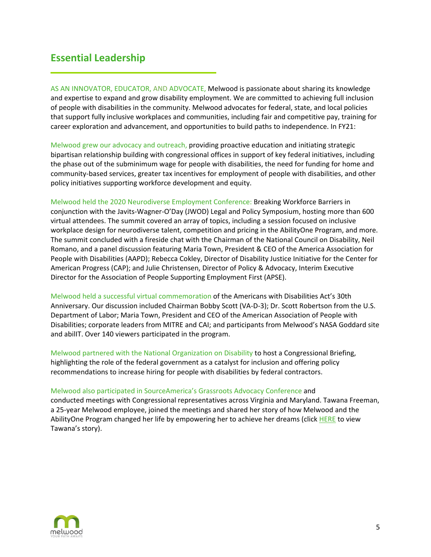#### **Essential Leadership**

AS AN INNOVATOR, EDUCATOR, AND ADVOCATE, Melwood is passionate about sharing its knowledge and expertise to expand and grow disability employment. We are committed to achieving full inclusion of people with disabilities in the community. Melwood advocates for federal, state, and local policies that support fully inclusive workplaces and communities, including fair and competitive pay, training for career exploration and advancement, and opportunities to build paths to independence. In FY21:

Melwood grew our advocacy and outreach, providing proactive education and initiating strategic bipartisan relationship building with congressional offices in support of key federal initiatives, including the phase out of the subminimum wage for people with disabilities, the need for funding for home and community-based services, greater tax incentives for employment of people with disabilities, and other policy initiatives supporting workforce development and equity.

Melwood held the 2020 Neurodiverse Employment Conference: Breaking Workforce Barriers in conjunction with the Javits-Wagner-O'Day (JWOD) Legal and Policy Symposium, hosting more than 600 virtual attendees. The summit covered an array of topics, including a session focused on inclusive workplace design for neurodiverse talent, competition and pricing in the AbilityOne Program, and more. The summit concluded with a fireside chat with the Chairman of the National Council on Disability, Neil Romano, and a panel discussion featuring Maria Town, President & CEO of the America Association for People with Disabilities (AAPD); Rebecca Cokley, Director of Disability Justice Initiative for the Center for American Progress (CAP); and Julie Christensen, Director of Policy & Advocacy, Interim Executive Director for the Association of People Supporting Employment First (APSE).

Melwood held a successful virtual commemoration of the Americans with Disabilities Act's 30th Anniversary. Our discussion included Chairman Bobby Scott (VA-D-3); Dr. Scott Robertson from the U.S. Department of Labor; Maria Town, President and CEO of the American Association of People with Disabilities; corporate leaders from MITRE and CAI; and participants from Melwood's NASA Goddard site and abilIT. Over 140 viewers participated in the program.

Melwood partnered with the National Organization on Disability to host a Congressional Briefing, highlighting the role of the federal government as a catalyst for inclusion and offering policy recommendations to increase hiring for people with disabilities by federal contractors.

#### Melwood also participated in SourceAmerica's Grassroots Advocacy Conference and

conducted meetings with Congressional representatives across Virginia and Maryland. Tawana Freeman, a 25-year Melwood employee, joined the meetings and shared her story of how Melwood and the AbilityOne Program changed her life by empowering her to achieve her dreams (clic[k HERE](https://melwood.org/newsroom/news/melwood-employee-tawana-freeman-advocates-on-capitol-hill-for-people-with-disabilities/) to view Tawana's story).